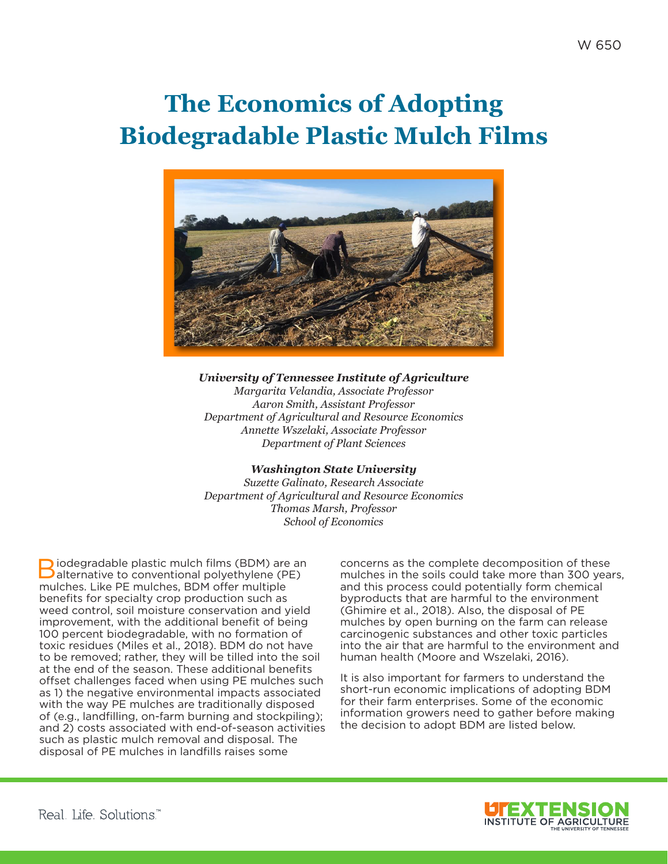# **The Economics of Adopting Biodegradable Plastic Mulch Films**



#### *University of Tennessee Institute of Agriculture*

*Margarita Velandia, Associate Professor Aaron Smith, Assistant Professor Department of Agricultural and Resource Economics Annette Wszelaki, Associate Professor Department of Plant Sciences*

#### *Washington State University*

*Suzette Galinato, Research Associate Department of Agricultural and Resource Economics Thomas Marsh, Professor School of Economics*

Biodegradable plastic mulch films (BDM) are an alternative to conventional polyethylene (PE) mulches. Like PE mulches, BDM offer multiple benefits for specialty crop production such as weed control, soil moisture conservation and yield improvement, with the additional benefit of being 100 percent biodegradable, with no formation of toxic residues (Miles et al., 2018). BDM do not have to be removed; rather, they will be tilled into the soil at the end of the season. These additional benefits offset challenges faced when using PE mulches such as 1) the negative environmental impacts associated with the way PE mulches are traditionally disposed of (e.g., landfilling, on-farm burning and stockpiling); and 2) costs associated with end-of-season activities such as plastic mulch removal and disposal. The disposal of PE mulches in landfills raises some

concerns as the complete decomposition of these mulches in the soils could take more than 300 years, and this process could potentially form chemical byproducts that are harmful to the environment (Ghimire et al., 2018). Also, the disposal of PE mulches by open burning on the farm can release carcinogenic substances and other toxic particles into the air that are harmful to the environment and human health (Moore and Wszelaki, 2016).

It is also important for farmers to understand the short-run economic implications of adopting BDM for their farm enterprises. Some of the economic information growers need to gather before making the decision to adopt BDM are listed below.

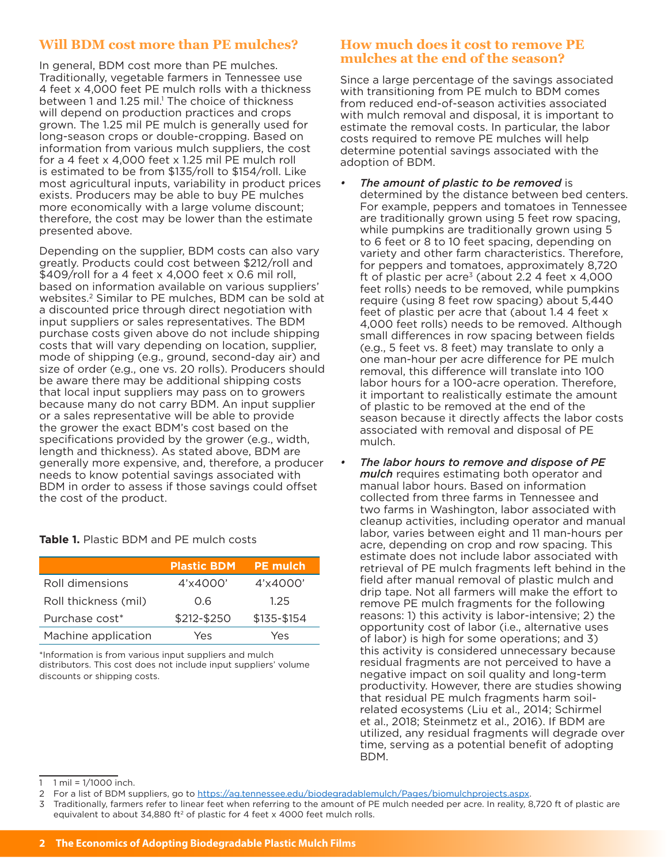# **Will BDM cost more than PE mulches?**

In general, BDM cost more than PE mulches. Traditionally, vegetable farmers in Tennessee use 4 feet x 4,000 feet PE mulch rolls with a thickness between 1 and 1.25 mil.<sup>1</sup> The choice of thickness will depend on production practices and crops grown. The 1.25 mil PE mulch is generally used for long-season crops or double-cropping. Based on information from various mulch suppliers, the cost for a 4 feet x 4,000 feet x 1.25 mil PE mulch roll is estimated to be from \$135/roll to \$154/roll. Like most agricultural inputs, variability in product prices exists. Producers may be able to buy PE mulches more economically with a large volume discount; therefore, the cost may be lower than the estimate presented above.

Depending on the supplier, BDM costs can also vary greatly. Products could cost between \$212/roll and \$409/roll for a 4 feet x 4,000 feet x 0.6 mil roll, based on information available on various suppliers' websites.2 Similar to PE mulches, BDM can be sold at a discounted price through direct negotiation with input suppliers or sales representatives. The BDM purchase costs given above do not include shipping costs that will vary depending on location, supplier, mode of shipping (e.g., ground, second-day air) and size of order (e.g., one vs. 20 rolls). Producers should be aware there may be additional shipping costs that local input suppliers may pass on to growers because many do not carry BDM. An input supplier or a sales representative will be able to provide the grower the exact BDM's cost based on the specifications provided by the grower (e.g., width, length and thickness). As stated above, BDM are generally more expensive, and, therefore, a producer needs to know potential savings associated with BDM in order to assess if those savings could offset the cost of the product.

**Table 1.** Plastic BDM and PE mulch costs

|                      | <b>Plastic BDM</b> | <b>PE mulch</b> |
|----------------------|--------------------|-----------------|
| Roll dimensions      | 4'x4000'           | 4'x4000'        |
| Roll thickness (mil) | 0.6                | 1.25            |
| Purchase cost*       | \$212-\$250        | \$135-\$154     |
| Machine application  | Yes                | Yes             |

\*Information is from various input suppliers and mulch distributors. This cost does not include input suppliers' volume discounts or shipping costs.

#### **How much does it cost to remove PE mulches at the end of the season?**

Since a large percentage of the savings associated with transitioning from PE mulch to BDM comes from reduced end-of-season activities associated with mulch removal and disposal, it is important to estimate the removal costs. In particular, the labor costs required to remove PE mulches will help determine potential savings associated with the adoption of BDM.

- *• The amount of plastic to be removed* is determined by the distance between bed centers. For example, peppers and tomatoes in Tennessee are traditionally grown using 5 feet row spacing, while pumpkins are traditionally grown using 5 to 6 feet or 8 to 10 feet spacing, depending on variety and other farm characteristics. Therefore, for peppers and tomatoes, approximately 8,720 ft of plastic per acre<sup>3</sup> (about 2.2 4 feet  $\times$  4,000 feet rolls) needs to be removed, while pumpkins require (using 8 feet row spacing) about 5,440 feet of plastic per acre that (about 1.4 4 feet x 4,000 feet rolls) needs to be removed. Although small differences in row spacing between fields (e.g., 5 feet vs. 8 feet) may translate to only a one man-hour per acre difference for PE mulch removal, this difference will translate into 100 labor hours for a 100-acre operation. Therefore, it important to realistically estimate the amount of plastic to be removed at the end of the season because it directly affects the labor costs associated with removal and disposal of PE mulch.
- *• The labor hours to remove and dispose of PE mulch* requires estimating both operator and manual labor hours. Based on information collected from three farms in Tennessee and two farms in Washington, labor associated with cleanup activities, including operator and manual labor, varies between eight and 11 man-hours per acre, depending on crop and row spacing. This estimate does not include labor associated with retrieval of PE mulch fragments left behind in the field after manual removal of plastic mulch and drip tape. Not all farmers will make the effort to remove PE mulch fragments for the following reasons: 1) this activity is labor-intensive; 2) the opportunity cost of labor (i.e., alternative uses of labor) is high for some operations; and 3) this activity is considered unnecessary because residual fragments are not perceived to have a negative impact on soil quality and long-term productivity. However, there are studies showing that residual PE mulch fragments harm soilrelated ecosystems (Liu et al., 2014; Schirmel et al., 2018; Steinmetz et al., 2016). If BDM are utilized, any residual fragments will degrade over time, serving as a potential benefit of adopting BDM.

3 Traditionally, farmers refer to linear feet when referring to the amount of PE mulch needed per acre. In reality, 8,720 ft of plastic are equivalent to about 34,880 ft<sup>2</sup> of plastic for 4 feet x 4000 feet mulch rolls.

 $1$  mil =  $1/1000$  inch.

<sup>2</sup> For a list of BDM suppliers, go to<https://ag.tennessee.edu/biodegradablemulch/Pages/biomulchprojects.aspx>.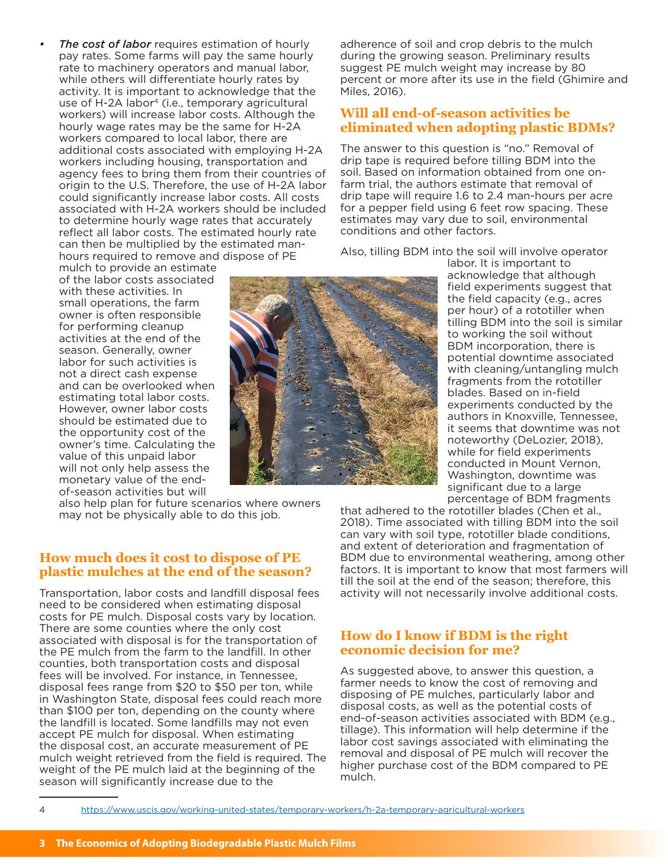4 <https://www.uscis.gov/working-united-states/temporary-workers/h-2a-temporary-agricultural-workers>

*The cost of labor* requires estimation of hourly pay rates. Some farms will pay the same hourly rate to machinery operators and manual labor, while others will differentiate hourly rates by activity. It is important to acknowledge that the use of H-2A labor<sup>4</sup> (i.e., temporary agricultural workers) will increase labor costs. Although the hourly wage rates may be the same for H-2A workers compared to local labor, there are additional costs associated with employing H-2A workers including housing, transportation and agency fees to bring them from their countries of origin to the U.S. Therefore, the use of H-2A labor could significantly increase labor costs. All costs associated with H-2A workers should be included to determine hourly wage rates that accurately reflect all labor costs. The estimated hourly rate can then be multiplied by the estimated manhours required to remove and dispose of PE

mulch to provide an estimate of the labor costs associated with these activities. In small operations, the farm owner is often responsible for performing cleanup activities at the end of the season. Generally, owner labor for such activities is not a direct cash expense and can be overlooked when estimating total labor costs. However, owner labor costs should be estimated due to the opportunity cost of the owner's time. Calculating the value of this unpaid labor will not only help assess the monetary value of the endof-season activities but will

also help plan for future scenarios where owners may not be physically able to do this job.

#### **How much does it cost to dispose of PE plastic mulches at the end of the season?**

Transportation, labor costs and landfill disposal fees need to be considered when estimating disposal costs for PE mulch. Disposal costs vary by location. There are some counties where the only cost associated with disposal is for the transportation of the PE mulch from the farm to the landfill. In other counties, both transportation costs and disposal fees will be involved. For instance, in Tennessee, disposal fees range from \$20 to \$50 per ton, while in Washington State, disposal fees could reach more than \$100 per ton, depending on the county where the landfill is located. Some landfills may not even accept PE mulch for disposal. When estimating the disposal cost, an accurate measurement of PE mulch weight retrieved from the field is required. The weight of the PE mulch laid at the beginning of the season will significantly increase due to the

adherence of soil and crop debris to the mulch during the growing season. Preliminary results suggest PE mulch weight may increase by 80 percent or more after its use in the field (Ghimire and Miles, 2016).

## **Will all end-of-season activities be eliminated when adopting plastic BDMs?**

The answer to this question is "no." Removal of drip tape is required before tilling BDM into the soil. Based on information obtained from one onfarm trial, the authors estimate that removal of drip tape will require 1.6 to 2.4 man-hours per acre for a pepper field using 6 feet row spacing. These estimates may vary due to soil, environmental conditions and other factors.

Also, tilling BDM into the soil will involve operator

labor. It is important to acknowledge that although field experiments suggest that the field capacity (e.g., acres per hour) of a rototiller when tilling BDM into the soil is similar to working the soil without BDM incorporation, there is potential downtime associated with cleaning/untangling mulch fragments from the rototiller blades. Based on in-field experiments conducted by the authors in Knoxville, Tennessee, it seems that downtime was not noteworthy (DeLozier, 2018), while for field experiments conducted in Mount Vernon, Washington, downtime was significant due to a large percentage of BDM fragments

that adhered to the rototiller blades (Chen et al., 2018). Time associated with tilling BDM into the soil can vary with soil type, rototiller blade conditions, and extent of deterioration and fragmentation of BDM due to environmental weathering, among other factors. It is important to know that most farmers will till the soil at the end of the season; therefore, this activity will not necessarily involve additional costs.

### **How do I know if BDM is the right economic decision for me?**

As suggested above, to answer this question, a farmer needs to know the cost of removing and disposing of PE mulches, particularly labor and disposal costs, as well as the potential costs of end-of-season activities associated with BDM (e.g., tillage). This information will help determine if the labor cost savings associated with eliminating the removal and disposal of PE mulch will recover the higher purchase cost of the BDM compared to PE mulch.

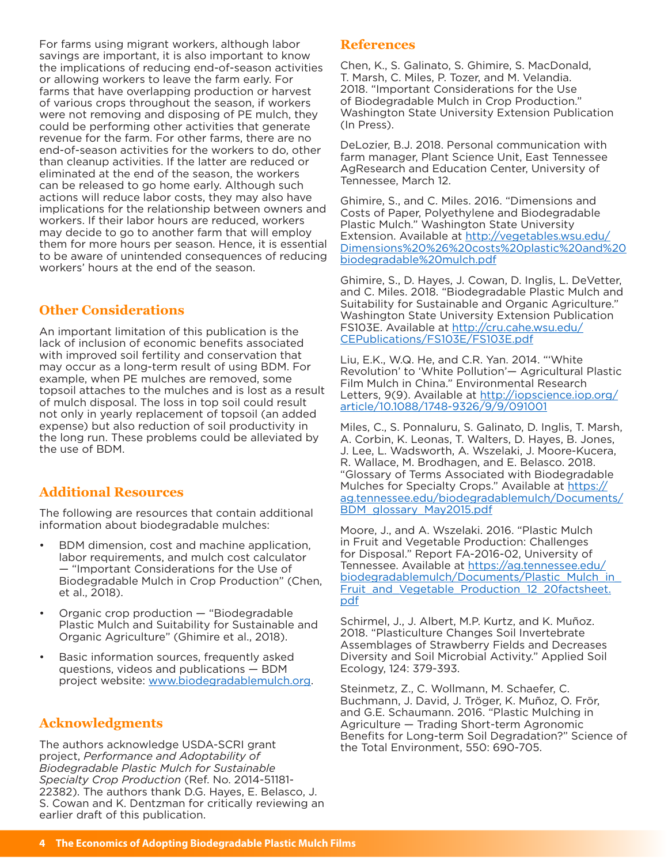For farms using migrant workers, although labor savings are important, it is also important to know the implications of reducing end-of-season activities or allowing workers to leave the farm early. For farms that have overlapping production or harvest of various crops throughout the season, if workers were not removing and disposing of PE mulch, they could be performing other activities that generate revenue for the farm. For other farms, there are no end-of-season activities for the workers to do, other than cleanup activities. If the latter are reduced or eliminated at the end of the season, the workers can be released to go home early. Although such actions will reduce labor costs, they may also have implications for the relationship between owners and workers. If their labor hours are reduced, workers may decide to go to another farm that will employ them for more hours per season. Hence, it is essential to be aware of unintended consequences of reducing workers' hours at the end of the season.

### **Other Considerations**

An important limitation of this publication is the lack of inclusion of economic benefits associated with improved soil fertility and conservation that may occur as a long-term result of using BDM. For example, when PE mulches are removed, some topsoil attaches to the mulches and is lost as a result of mulch disposal. The loss in top soil could result not only in yearly replacement of topsoil (an added expense) but also reduction of soil productivity in the long run. These problems could be alleviated by the use of BDM.

# **Additional Resources**

The following are resources that contain additional information about biodegradable mulches:

- BDM dimension, cost and machine application, labor requirements, and mulch cost calculator — "Important Considerations for the Use of Biodegradable Mulch in Crop Production" (Chen, et al., 2018).
- Organic crop production "Biodegradable Plastic Mulch and Suitability for Sustainable and Organic Agriculture" (Ghimire et al., 2018).
- Basic information sources, frequently asked questions, videos and publications — BDM project website: [www.biodegradablemulch.org.](http://www.biodegradablemulch.org)

# **Acknowledgments**

The authors acknowledge USDA-SCRI grant project, *Performance and Adoptability of Biodegradable Plastic Mulch for Sustainable Specialty Crop Production* (Ref. No. 2014-51181- 22382). The authors thank D.G. Hayes, E. Belasco, J. S. Cowan and K. Dentzman for critically reviewing an earlier draft of this publication.

#### **References**

Chen, K., S. Galinato, S. Ghimire, S. MacDonald, T. Marsh, C. Miles, P. Tozer, and M. Velandia. 2018. "Important Considerations for the Use of Biodegradable Mulch in Crop Production." Washington State University Extension Publication (In Press).

DeLozier, B.J. 2018. Personal communication with farm manager, Plant Science Unit, East Tennessee AgResearch and Education Center, University of Tennessee, March 12.

Ghimire, S., and C. Miles. 2016. "Dimensions and Costs of Paper, Polyethylene and Biodegradable Plastic Mulch." Washington State University Extension. Available at [http://vegetables.wsu.edu/](http://vegetables.wsu.edu/Dimensions%20%26%20costs%20plastic%20and%20biodegradable%20mulch.pdf) [Dimensions%20%26%20costs%20plastic%20and%20](http://vegetables.wsu.edu/Dimensions%20%26%20costs%20plastic%20and%20biodegradable%20mulch.pdf) [biodegradable%20mulch.pdf](http://vegetables.wsu.edu/Dimensions%20%26%20costs%20plastic%20and%20biodegradable%20mulch.pdf)

Ghimire, S., D. Hayes, J. Cowan, D. Inglis, L. DeVetter, and C. Miles. 2018. "Biodegradable Plastic Mulch and Suitability for Sustainable and Organic Agriculture." Washington State University Extension Publication FS103E. Available at [http://cru.cahe.wsu.edu/](http://cru.cahe.wsu.edu/CEPublications/FS103E/FS103E.pdf) [CEPublications/FS103E/FS103E.pdf](http://cru.cahe.wsu.edu/CEPublications/FS103E/FS103E.pdf)

Liu, E.K., W.Q. He, and C.R. Yan. 2014. "'White Revolution' to 'White Pollution'— Agricultural Plastic Film Mulch in China." Environmental Research Letters, 9(9). Available at [http://iopscience.iop.org/](http://iopscience.iop.org/article/10.1088/1748-9326/9/9/091001) [article/10.1088/1748-9326/9/9/091001](http://iopscience.iop.org/article/10.1088/1748-9326/9/9/091001)

Miles, C., S. Ponnaluru, S. Galinato, D. Inglis, T. Marsh, A. Corbin, K. Leonas, T. Walters, D. Hayes, B. Jones, J. Lee, L. Wadsworth, A. Wszelaki, J. Moore-Kucera, R. Wallace, M. Brodhagen, and E. Belasco. 2018. "Glossary of Terms Associated with Biodegradable Mulches for Specialty Crops." Available at [https://](https://ag.tennessee.edu/biodegradablemulch/Documents/BDM_glossary_May2015.pdf) [ag.tennessee.edu/biodegradablemulch/Documents/](https://ag.tennessee.edu/biodegradablemulch/Documents/BDM_glossary_May2015.pdf) [BDM\\_glossary\\_May2015.pdf](https://ag.tennessee.edu/biodegradablemulch/Documents/BDM_glossary_May2015.pdf)

Moore, J., and A. Wszelaki. 2016. "Plastic Mulch in Fruit and Vegetable Production: Challenges for Disposal." Report FA-2016-02, University of Tennessee. Available at [https://ag.tennessee.edu/](https://ag.tennessee.edu/biodegradablemulch/Documents/Plastic_Mulch_in_Fruit_and_Vegetable_Production_12_20factsheet.pdf) [biodegradablemulch/Documents/Plastic\\_Mulch\\_in\\_](https://ag.tennessee.edu/biodegradablemulch/Documents/Plastic_Mulch_in_Fruit_and_Vegetable_Production_12_20factsheet.pdf) Fruit and Vegetable Production 12 20factsheet. [pdf](https://ag.tennessee.edu/biodegradablemulch/Documents/Plastic_Mulch_in_Fruit_and_Vegetable_Production_12_20factsheet.pdf)

Schirmel, J., J. Albert, M.P. Kurtz, and K. Muñoz. 2018. "Plasticulture Changes Soil Invertebrate Assemblages of Strawberry Fields and Decreases Diversity and Soil Microbial Activity." Applied Soil Ecology, 124: 379-393.

Steinmetz, Z., C. Wollmann, M. Schaefer, C. Buchmann, J. David, J. Tröger, K. Muñoz, O. Frör, and G.E. Schaumann. 2016. "Plastic Mulching in Agriculture — Trading Short-term Agronomic Benefits for Long-term Soil Degradation?" Science of the Total Environment, 550: 690-705.